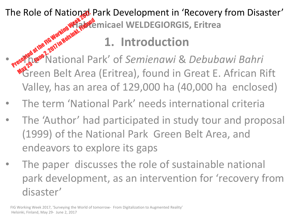The Role of National Park Development in 'Recovery from Disaster' **Abrigation**<br> **Abbrew WELDEGIORGIS, Eritrea** The Role of National Park Development in 'Recovery from Disa<br> **Configuration**<br> **1. Introduction<br>
Presented at the Fahrical Park' of** *Semienawi & Debubawi Bahri***<br>
Presented at the Fahrical Park' of** *Semienawi & Debubawi Bah* 

# **1. Introduction**

Green Belt Area (Eritrea), found in Great E. African Rift Valley, has an area of 129,000 ha (40,000 ha enclosed) May 29 - June 2, 2017 in Hotel Handen

- The term 'National Park' needs international criteria
- The 'Author' had participated in study tour and proposal (1999) of the National Park Green Belt Area, and endeavors to explore its gaps
- The paper discusses the role of sustainable national park development, as an intervention for 'recovery from disaster'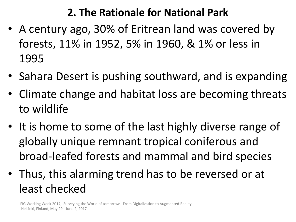#### **2. The Rationale for National Park**

- A century ago, 30% of Eritrean land was covered by forests, 11% in 1952, 5% in 1960, & 1% or less in 1995
- Sahara Desert is pushing southward, and is expanding
- Climate change and habitat loss are becoming threats to wildlife
- It is home to some of the last highly diverse range of globally unique remnant tropical coniferous and broad-leafed forests and mammal and bird species
- Thus, this alarming trend has to be reversed or at least checked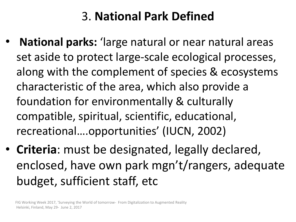# 3. **National Park Defined**

- **National parks:** 'large natural or near natural areas set aside to protect large-scale ecological processes, along with the complement of species & ecosystems characteristic of the area, which also provide a foundation for environmentally & culturally compatible, spiritual, scientific, educational, recreational….opportunities' (IUCN, 2002)
- **Criteria**: must be designated, legally declared, enclosed, have own park mgn't/rangers, adequate budget, sufficient staff, etc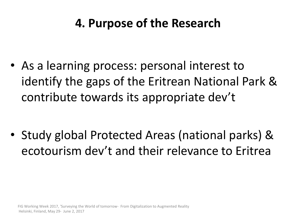## **4. Purpose of the Research**

• As a learning process: personal interest to identify the gaps of the Eritrean National Park & contribute towards its appropriate dev't

• Study global Protected Areas (national parks) & ecotourism dev't and their relevance to Eritrea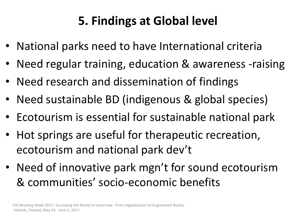# **5. Findings at Global level**

- National parks need to have International criteria
- Need regular training, education & awareness -raising
- Need research and dissemination of findings
- Need sustainable BD (indigenous & global species)
- Ecotourism is essential for sustainable national park
- Hot springs are useful for therapeutic recreation, ecotourism and national park dev't
- Need of innovative park mgn't for sound ecotourism & communities' socio-economic benefits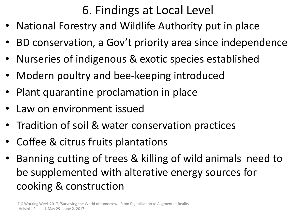## 6. Findings at Local Level

- National Forestry and Wildlife Authority put in place
- BD conservation, a Gov't priority area since independence
- Nurseries of indigenous & exotic species established
- Modern poultry and bee-keeping introduced
- Plant quarantine proclamation in place
- Law on environment issued
- Tradition of soil & water conservation practices
- Coffee & citrus fruits plantations
- Banning cutting of trees & killing of wild animals need to be supplemented with alterative energy sources for cooking & construction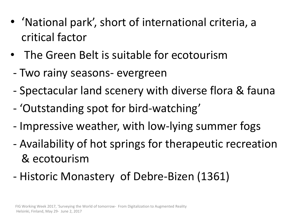- 'National park', short of international criteria, a critical factor
- The Green Belt is suitable for ecotourism
- Two rainy seasons- evergreen
- Spectacular land scenery with diverse flora & fauna
- 'Outstanding spot for bird-watching'
- Impressive weather, with low-lying summer fogs
- Availability of hot springs for therapeutic recreation & ecotourism
- Historic Monastery of Debre-Bizen (1361)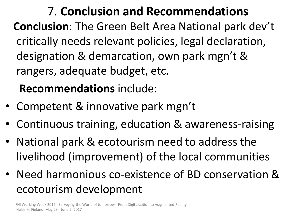7. **Conclusion and Recommendations Conclusion**: The Green Belt Area National park dev't critically needs relevant policies, legal declaration, designation & demarcation, own park mgn't & rangers, adequate budget, etc.

## **Recommendations** include:

- Competent & innovative park mgn't
- Continuous training, education & awareness-raising
- National park & ecotourism need to address the livelihood (improvement) of the local communities
- Need harmonious co-existence of BD conservation & ecotourism development